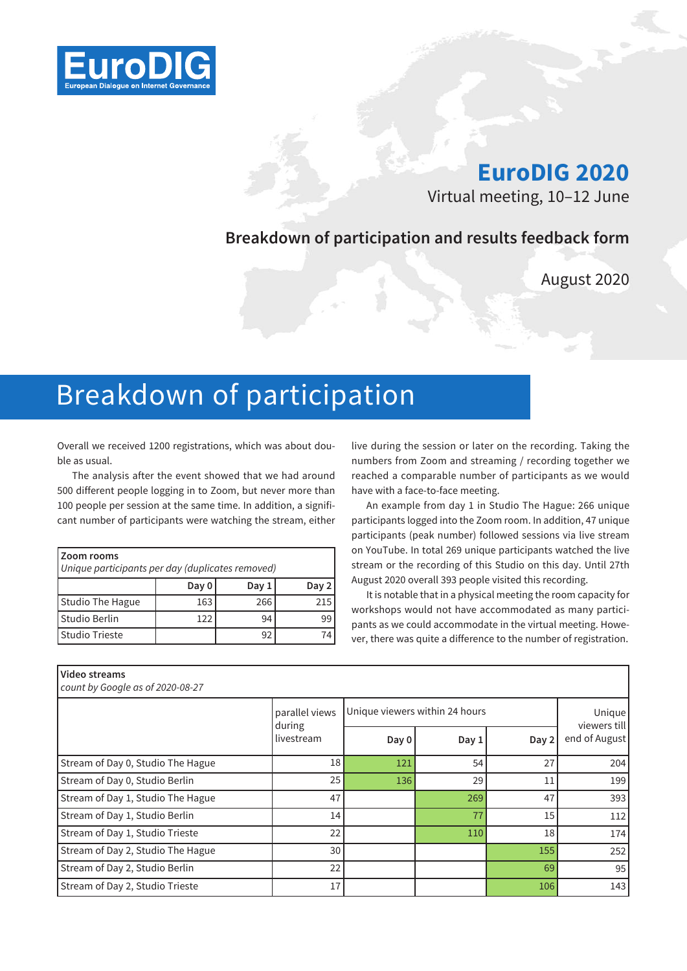

# **EuroDIG 2020**

Virtual meeting, 10–12 June

# **Breakdown of participation and results feedback form**

August 2020

# Breakdown of participation

Overall we received 1200 registrations, which was about double as usual.

The analysis after the event showed that we had around 500 different people logging in to Zoom, but never more than 100 people per session at the same time. In addition, a significant number of participants were watching the stream, either

| l Zoom rooms<br>Unique participants per day (duplicates removed) |       |       |       |
|------------------------------------------------------------------|-------|-------|-------|
|                                                                  | Day 0 | Day 1 | Day 2 |
| Studio The Hague                                                 | 163   | 266   | 215   |
| l Studio Berlin                                                  | 122   | 94    | 99    |
| l Studio Trieste                                                 |       | 92    |       |

live during the session or later on the recording. Taking the numbers from Zoom and streaming / recording together we reached a comparable number of participants as we would have with a face-to-face meeting.

An example from day 1 in Studio The Hague: 266 unique participants logged into the Zoom room. In addition, 47 unique participants (peak number) followed sessions via live stream on YouTube. In total 269 unique participants watched the live stream or the recording of this Studio on this day. Until 27th August 2020 overall 393 people visited this recording.

It is notable that in a physical meeting the room capacity for workshops would not have accommodated as many participants as we could accommodate in the virtual meeting. However, there was quite a difference to the number of registration.

| Video streams<br>count by Google as of 2020-08-27 |                      |                                |       |       |                        |
|---------------------------------------------------|----------------------|--------------------------------|-------|-------|------------------------|
|                                                   | parallel views       | Unique viewers within 24 hours |       |       | Unique<br>viewers till |
|                                                   | during<br>livestream | Day 0                          | Day 1 | Day 2 | end of August          |
| Stream of Day 0, Studio The Hague                 | 18                   | 121                            | 54    | 27    | 204                    |
| Stream of Day 0, Studio Berlin                    | 25                   | 136                            | 29    | 11    | 199                    |
| Stream of Day 1, Studio The Hague                 | 47                   |                                | 269   | 47    | 393                    |
| Stream of Day 1, Studio Berlin                    | 14                   |                                | 77    | 15    | 112                    |
| Stream of Day 1, Studio Trieste                   | 22                   |                                | 110   | 18    | 174                    |
| Stream of Day 2, Studio The Hague                 | 30                   |                                |       | 155   | 252                    |
| Stream of Day 2, Studio Berlin                    | 22                   |                                |       | 69    | 951                    |
| Stream of Day 2, Studio Trieste                   | 17                   |                                |       | 106   | 143                    |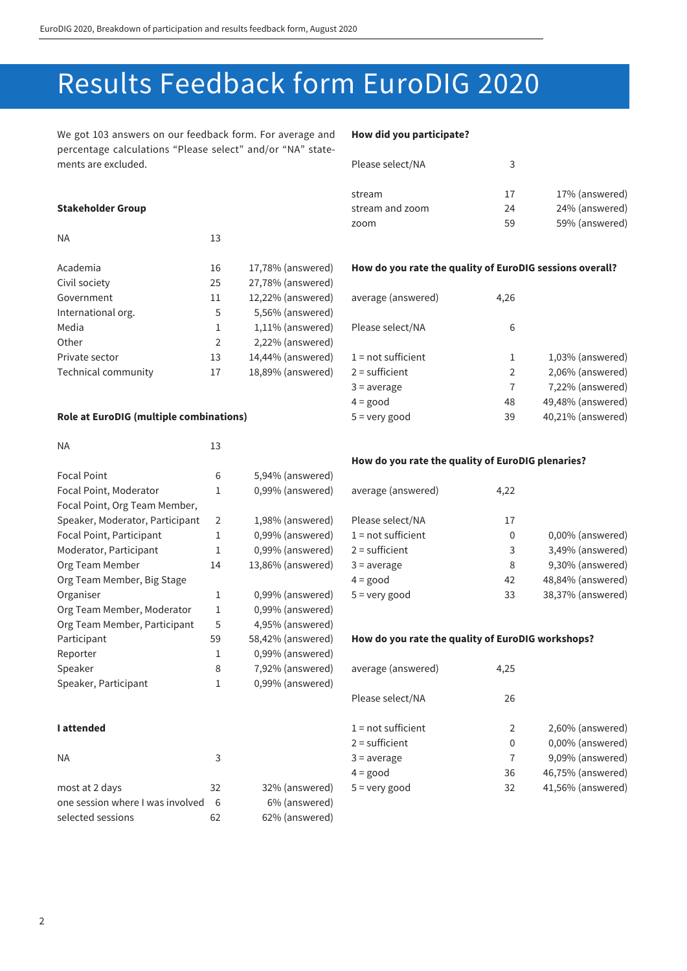# Results Feedback form EuroDIG 2020

We got 103 answers on our feedback form. For average and percentage calculations "Please select" and/or "NA" statements are excluded.

#### **How did you participate?**

average (answered) 4,26

Please select/NA 6

| 17% (answered) |
|----------------|
| 24% (answered) |
| 59% (answered) |
|                |

**How do you rate the quality of EuroDIG sessions overall?**

 $1 = not sufficient$  1,03% (answered)  $2 =$  sufficient 2 2,06% (answered)  $3 = average$   $7 - 7,22\%$  (answered)  $4 = \text{good}$   $48$   $49,48\%$  (answered) 5 = very good 39 40,21% (answered)

#### **Stakeholder Group**

| <b>NA</b>           | 13 |                   |
|---------------------|----|-------------------|
| Academia            | 16 | 17,78% (answered) |
| Civil society       | 25 | 27,78% (answered) |
| Government          | 11 | 12,22% (answered) |
| International org.  | 5  | 5,56% (answered)  |
| Media               | 1  | 1,11% (answered)  |
| Other               | 2  | 2,22% (answered)  |
| Private sector      | 13 | 14,44% (answered) |
| Technical community | 17 | 18,89% (answered) |
|                     |    |                   |

#### **Role at EuroDIG (multiple combinations)**

#### $NA$  13

# Focal Point 6 5,94% (answered) Focal Point, Moderator 1 0,99% (answered) Focal Point, Org Team Member, Speaker, Moderator, Participant 2 1,98% (answered) Focal Point, Participant 1 0,99% (answered) Moderator, Participant 1 0.99% (answered) Org Team Member 14 13,86% (answered) Org Team Member, Big Stage Organiser 1 0,99% (answered) Org Team Member, Moderator 1 0,99% (answered) Org Team Member, Participant 5 4,95% (answered) Participant 59 58,42% (answered) Reporter 1 0,99% (answered) Speaker 8 7,92% (answered) Speaker, Participant 1 0,99% (answered)

selected sessions 62 62% (answered)

# **How do you rate the quality of EuroDIG plenaries?**

| average (answered)   | 4,22 |                   |
|----------------------|------|-------------------|
| Please select/NA     | 17   |                   |
| $1 = not sufficient$ | 0    | 0,00% (answered)  |
| $2 =$ sufficient     | 3    | 3,49% (answered)  |
| $3 = average$        | 8    | 9,30% (answered)  |
| $4 = good$           | 42   | 48,84% (answered) |
| $5 =$ very good      | 33   | 38,37% (answered) |

#### **How do you rate the quality of EuroDIG workshops?**

| Speaker                          | 8  | 7,92% (answered)    | average (answered)   | 4,25 |                   |
|----------------------------------|----|---------------------|----------------------|------|-------------------|
| Speaker, Participant             |    | $0.99\%$ (answered) |                      |      |                   |
|                                  |    |                     | Please select/NA     | 26   |                   |
| I attended                       |    |                     | $1 = not sufficient$ |      | 2,60% (answered)  |
|                                  |    |                     | $2 =$ sufficient     | 0    | 0,00% (answered)  |
| <b>NA</b>                        | 3  |                     | $3 = average$        |      | 9,09% (answered)  |
|                                  |    |                     | $4 = good$           | 36   | 46,75% (answered) |
| most at 2 days                   | 32 | 32% (answered)      | $5 =$ very good      | 32   | 41,56% (answered) |
| one session where I was involved | 6  | 6% (answered)       |                      |      |                   |

#### **I attended**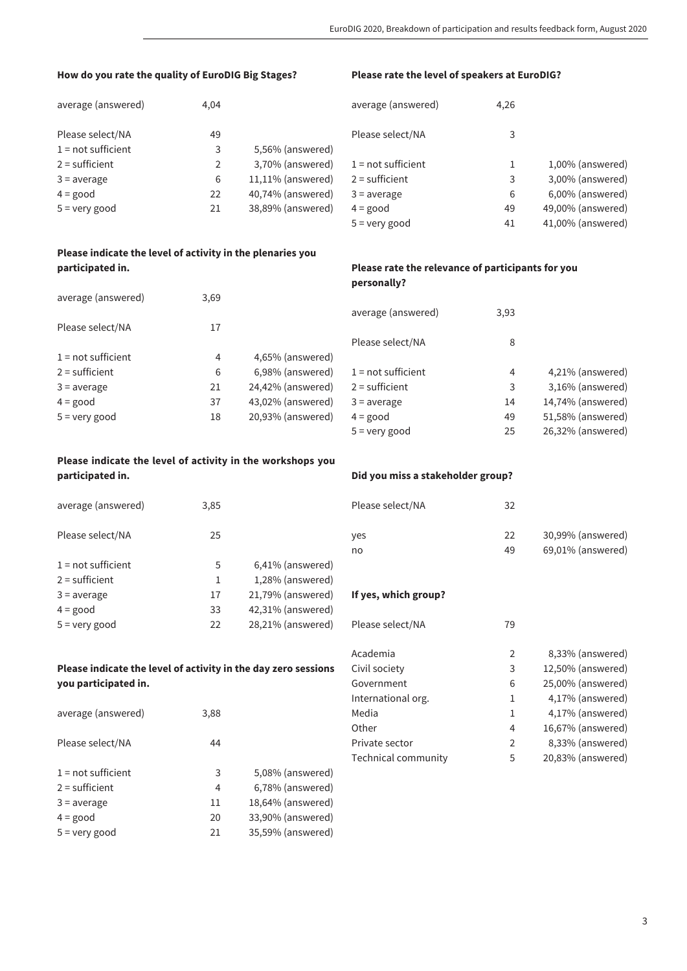## **How do you rate the quality of EuroDIG Big Stages?**

#### **Please rate the level of speakers at EuroDIG?**

| average (answered)   | 4,04 |                      | average (answered)   | 4,26 |                   |
|----------------------|------|----------------------|----------------------|------|-------------------|
| Please select/NA     | 49   |                      | Please select/NA     | 3    |                   |
| $1 = not sufficient$ |      | 5,56% (answered)     |                      |      |                   |
| $2 =$ sufficient     |      | 3,70% (answered)     | $1 = not sufficient$ |      | 1,00% (answered)  |
| $3 = average$        | 6    | $11,11\%$ (answered) | $2 =$ sufficient     | 3    | 3,00% (answered)  |
| $4 = \text{good}$    | 22   | 40,74% (answered)    | $3 = average$        | 6    | 6,00% (answered)  |
| $5 =$ very good      | 21   | 38,89% (answered)    | $4 = good$           | 49   | 49,00% (answered) |
|                      |      |                      | $5 =$ very good      | 41   | 41,00% (answered) |

## **Please indicate the level of activity in the plenaries you participated in.**

| average (answered)   | 3,69 |                   |
|----------------------|------|-------------------|
| Please select/NA     | 17   |                   |
| $1 = not sufficient$ | 4    | 4,65% (answered)  |
| $2 =$ sufficient     | 6    | 6,98% (answered)  |
| $3 = average$        | 21   | 24,42% (answered) |
| $4 = good$           | 37   | 43,02% (answered) |
| $5 =$ very good      | 18   | 20,93% (answered) |
|                      |      |                   |

# **Please indicate the level of activity in the workshops you participated in.**

| average (answered)   | 3,85 |                   | Please  |
|----------------------|------|-------------------|---------|
| Please select/NA     | 25   |                   | yes     |
|                      |      |                   | no      |
| $1 = not sufficient$ | 5    | 6,41% (answered)  |         |
| $2 =$ sufficient     | 1    | 1,28% (answered)  |         |
| $3 = average$        | 17   | 21,79% (answered) | If yes, |
| $4 = good$           | 33   | 42,31% (answered) |         |
| $5 =$ very good      | 22   | 28,21% (answered) | Please  |

# **Please indicate the level of activity in the day zero sessions you participated in.**

| average (answered)   | 3,88 |                   |
|----------------------|------|-------------------|
| Please select/NA     | 44   |                   |
| $1 = not sufficient$ | 3    | 5,08% (answered)  |
| $2 =$ sufficient     | 4    | 6,78% (answered)  |
| $3 = average$        | 11   | 18,64% (answered) |
| $4 = good$           | 20   | 33,90% (answered) |
| $5 =$ very good      | 21   | 35,59% (answered) |

# **Please rate the relevance of participants for you personally?**

| average (answered)   | 3,93 |                   |
|----------------------|------|-------------------|
| Please select/NA     | 8    |                   |
| $1 = not sufficient$ | 4    | 4,21% (answered)  |
| $2 =$ sufficient     | 3    | 3,16% (answered)  |
| $3 = average$        | 14   | 14,74% (answered) |
| $4 = good$           | 49   | 51,58% (answered) |
| $5 =$ very good      | 25   | 26,32% (answered) |

#### **Did you miss a stakeholder group?**

| Please select/NA | 32 |                      |
|------------------|----|----------------------|
| yes              | 22 | 30,99% (answered)    |
| no               | 49 | $69,01\%$ (answered) |

#### **Which** group?

| Please select/NA    | 79 |                   |
|---------------------|----|-------------------|
| Academia            | 2  | 8,33% (answered)  |
| Civil society       | 3  | 12,50% (answered) |
| Government          | 6  | 25,00% (answered) |
| International org.  | 1  | 4,17% (answered)  |
| Media               | 1  | 4,17% (answered)  |
| Other               | 4  | 16,67% (answered) |
| Private sector      | 2  | 8,33% (answered)  |
| Technical community | 5  | 20,83% (answered) |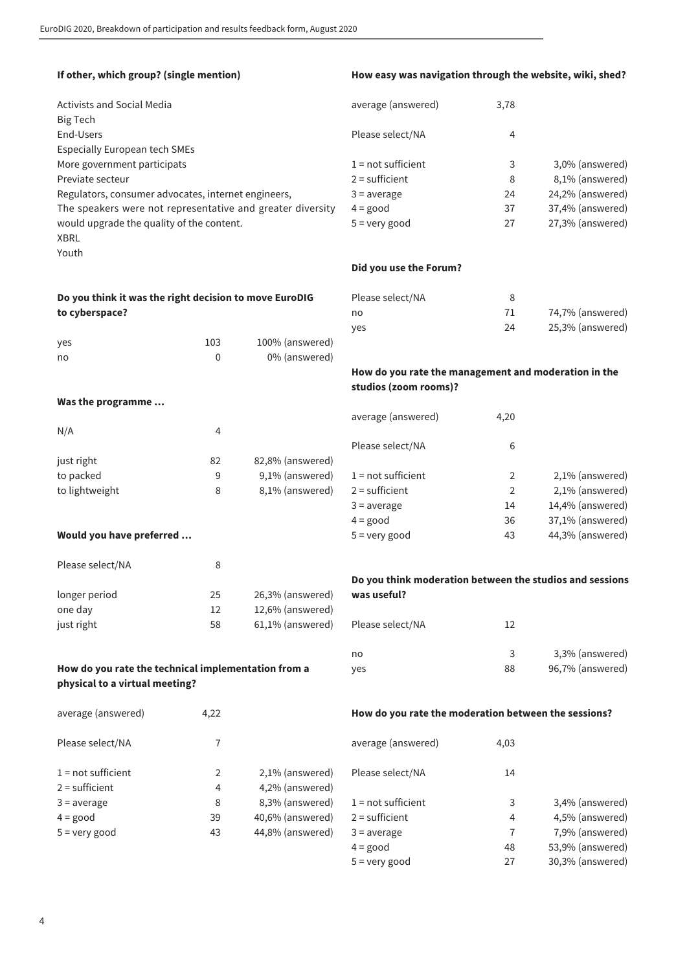| If other, which group? (single mention)                                               |             |                                                                               | How easy was navigation through the website, wiki, shed? |      |                  |
|---------------------------------------------------------------------------------------|-------------|-------------------------------------------------------------------------------|----------------------------------------------------------|------|------------------|
| <b>Activists and Social Media</b><br><b>Big Tech</b>                                  |             |                                                                               | average (answered)                                       | 3,78 |                  |
| End-Users<br><b>Especially European tech SMEs</b>                                     |             |                                                                               | Please select/NA                                         | 4    |                  |
| More government participats                                                           |             |                                                                               | $1 = not sufficient$                                     | 3    | 3,0% (answered)  |
| Previate secteur                                                                      |             |                                                                               | $2 =$ sufficient                                         | 8    | 8,1% (answered)  |
| Regulators, consumer advocates, internet engineers,                                   |             |                                                                               | $3 = average$                                            | 24   | 24,2% (answered) |
| The speakers were not representative and greater diversity                            |             |                                                                               | $4 = good$                                               | 37   | 37,4% (answered) |
| would upgrade the quality of the content.<br><b>XBRL</b><br>Youth                     |             |                                                                               | $5 =$ very good                                          | 27   | 27,3% (answered) |
|                                                                                       |             |                                                                               | Did you use the Forum?                                   |      |                  |
| Do you think it was the right decision to move EuroDIG                                |             |                                                                               | Please select/NA                                         | 8    |                  |
| to cyberspace?                                                                        |             |                                                                               | no                                                       | 71   | 74,7% (answered) |
|                                                                                       |             |                                                                               | yes                                                      | 24   | 25,3% (answered) |
| yes                                                                                   | 103         | 100% (answered)                                                               |                                                          |      |                  |
| no                                                                                    | $\mathbf 0$ | 0% (answered)                                                                 |                                                          |      |                  |
|                                                                                       |             | How do you rate the management and moderation in the<br>studios (zoom rooms)? |                                                          |      |                  |
| Was the programme                                                                     |             |                                                                               |                                                          |      |                  |
|                                                                                       |             |                                                                               | average (answered)                                       | 4,20 |                  |
| N/A                                                                                   | 4           |                                                                               |                                                          |      |                  |
|                                                                                       |             |                                                                               | Please select/NA                                         | 6    |                  |
| just right                                                                            | 82          | 82,8% (answered)                                                              |                                                          |      |                  |
| to packed                                                                             | 9           | 9,1% (answered)                                                               | $1 = not sufficient$                                     | 2    | 2,1% (answered)  |
| to lightweight                                                                        | 8           | 8,1% (answered)                                                               | $2 =$ sufficient                                         | 2    | 2,1% (answered)  |
|                                                                                       |             |                                                                               | $3 = average$                                            | 14   | 14,4% (answered) |
|                                                                                       |             |                                                                               | $4 = good$                                               | 36   | 37,1% (answered) |
| Would you have preferred                                                              |             |                                                                               | $5 =$ very good                                          | 43   | 44,3% (answered) |
| Please select/NA                                                                      | 8           |                                                                               |                                                          |      |                  |
|                                                                                       |             |                                                                               | Do you think moderation between the studios and sessions |      |                  |
| longer period                                                                         | 25          | 26,3% (answered)                                                              | was useful?                                              |      |                  |
| one day                                                                               | 12          | 12,6% (answered)                                                              |                                                          |      |                  |
| just right                                                                            | 58          | 61,1% (answered)                                                              | Please select/NA                                         | 12   |                  |
|                                                                                       |             |                                                                               | no                                                       | 3    | 3,3% (answered)  |
| How do you rate the technical implementation from a<br>physical to a virtual meeting? |             |                                                                               | yes                                                      | 88   | 96,7% (answered) |
| average (answered)                                                                    | 4,22        |                                                                               | How do you rate the moderation between the sessions?     |      |                  |
| Please select/NA                                                                      | 7           |                                                                               | average (answered)                                       | 4,03 |                  |
| $1 = not sufficient$                                                                  | 2           | 2,1% (answered)                                                               | Please select/NA                                         | 14   |                  |
| $2 =$ sufficient                                                                      | 4           | 4,2% (answered)                                                               |                                                          |      |                  |
| $3 = average$                                                                         | 8           | 8,3% (answered)                                                               | $1 = not sufficient$                                     | 3    | 3,4% (answered)  |
| $4 = good$                                                                            | 39          | 40,6% (answered)                                                              | $2 =$ sufficient                                         | 4    | 4,5% (answered)  |
| $5 =$ very good                                                                       | 43          | 44,8% (answered)                                                              | $3 = average$                                            | 7    | 7,9% (answered)  |
|                                                                                       |             |                                                                               | $4 = good$                                               | 48   | 53,9% (answered) |

5 = very good 27 30,3% (answered)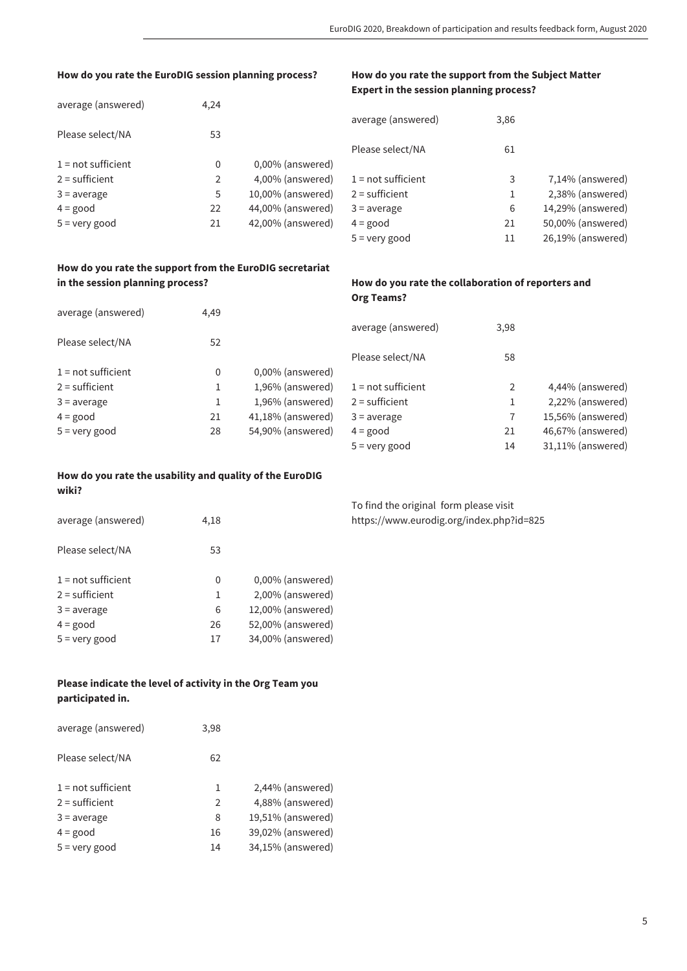#### **How do you rate the EuroDIG session planning process?**

## **How do you rate the support from the Subject Matter Expert in the session planning process?**

| average (answered)   | 4,24 |                     |                      |      |                   |
|----------------------|------|---------------------|----------------------|------|-------------------|
|                      |      |                     | average (answered)   | 3,86 |                   |
| Please select/NA     | 53   |                     |                      |      |                   |
|                      |      |                     | Please select/NA     | 61   |                   |
| $1 = not sufficient$ | 0    | $0,00\%$ (answered) |                      |      |                   |
| $2 =$ sufficient     |      | 4,00% (answered)    | $1 = not sufficient$ | 3    | 7,14% (answered)  |
| $3 = average$        | 5    | 10,00% (answered)   | $2 =$ sufficient     |      | 2,38% (answered)  |
| $4 = good$           | 22   | 44,00% (answered)   | $3 = average$        | 6    | 14,29% (answered) |
| $5 =$ very good      | 21   | 42,00% (answered)   | $4 = good$           | 21   | 50,00% (answered) |
|                      |      |                     | $5 =$ very good      | 11   | 26,19% (answered) |

## **How do you rate the support from the EuroDIG secretariat in the session planning process?**

#### **How do you rate the collaboration of reporters and Org Teams?**

| average (answered)   | 4,49 |                      |                      |      |                   |
|----------------------|------|----------------------|----------------------|------|-------------------|
|                      |      |                      | average (answered)   | 3,98 |                   |
| Please select/NA     | 52   |                      |                      |      |                   |
|                      |      |                      | Please select/NA     | 58   |                   |
| $1 = not sufficient$ | 0    | 0,00% (answered)     |                      |      |                   |
| $2 =$ sufficient     |      | 1,96% (answered)     | $1 = not sufficient$ |      | 4,44% (answered)  |
| $3 = average$        |      | 1,96% (answered)     | $2 =$ sufficient     |      | 2,22% (answered)  |
| $4 = \text{good}$    | 21   | $41,18\%$ (answered) | $3 = average$        |      | 15,56% (answered) |
| $5 =$ very good      | 28   | 54,90% (answered)    | $4 = \text{good}$    | 21   | 46,67% (answered) |
|                      |      |                      | $5 =$ very good      | 14   | 31,11% (answered) |

### **How do you rate the usability and quality of the EuroDIG wiki?**

| average (answered)   | 4,18 |                   |
|----------------------|------|-------------------|
| Please select/NA     | 53   |                   |
| $1 = not sufficient$ | 0    | 0,00% (answered)  |
| $2 =$ sufficient     | 1    | 2,00% (answered)  |
| $3 = average$        | 6    | 12,00% (answered) |
| $4 = good$           | 26   | 52,00% (answered) |
| $5 =$ very good      | 17   | 34,00% (answered) |

# **Please indicate the level of activity in the Org Team you participated in.**

| average (answered)   | 3,98 |                   |
|----------------------|------|-------------------|
| Please select/NA     | 62   |                   |
| $1 = not sufficient$ | 1    | 2,44% (answered)  |
| $2 =$ sufficient     | 2    | 4,88% (answered)  |
| $3 = average$        | 8    | 19,51% (answered) |
| $4 = good$           | 16   | 39,02% (answered) |
| $5 =$ very good      | 14   | 34,15% (answered) |

To find the original form please visit https://www.eurodig.org/index.php?id=825